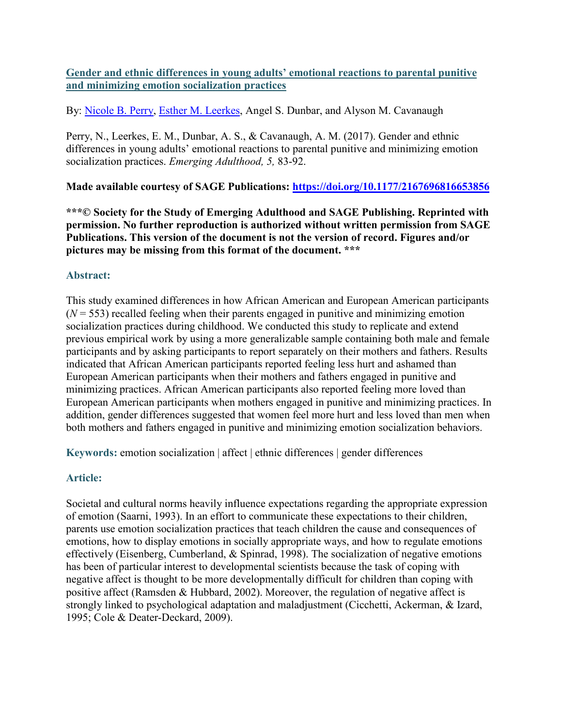**Gender and ethnic differences in young adults' emotional reactions to parental punitive and minimizing emotion socialization practices**

By: [Nicole B. Perry,](http://libres.uncg.edu/ir/uncg/clist.aspx?id=4937) [Esther M. Leerkes,](https://libres.uncg.edu/ir/uncg/clist.aspx?id=1186) Angel S. Dunbar, and Alyson M. Cavanaugh

Perry, N., Leerkes, E. M., Dunbar, A. S., & Cavanaugh, A. M. (2017). Gender and ethnic differences in young adults' emotional reactions to parental punitive and minimizing emotion socialization practices. *Emerging Adulthood, 5,* 83-92.

**Made available courtesy of SAGE Publications: [https://doi.org/10.1177/2167696816653856](https://doi.org/10.1177%2F2167696816653856)**

**\*\*\*© Society for the Study of Emerging Adulthood and SAGE Publishing. Reprinted with permission. No further reproduction is authorized without written permission from SAGE Publications. This version of the document is not the version of record. Figures and/or pictures may be missing from this format of the document. \*\*\***

# **Abstract:**

This study examined differences in how African American and European American participants  $(N = 553)$  recalled feeling when their parents engaged in punitive and minimizing emotion socialization practices during childhood. We conducted this study to replicate and extend previous empirical work by using a more generalizable sample containing both male and female participants and by asking participants to report separately on their mothers and fathers. Results indicated that African American participants reported feeling less hurt and ashamed than European American participants when their mothers and fathers engaged in punitive and minimizing practices. African American participants also reported feeling more loved than European American participants when mothers engaged in punitive and minimizing practices. In addition, gender differences suggested that women feel more hurt and less loved than men when both mothers and fathers engaged in punitive and minimizing emotion socialization behaviors.

**Keywords:** emotion socialization | affect | ethnic differences | gender differences

# **Article:**

Societal and cultural norms heavily influence expectations regarding the appropriate expression of emotion (Saarni, 1993). In an effort to communicate these expectations to their children, parents use emotion socialization practices that teach children the cause and consequences of emotions, how to display emotions in socially appropriate ways, and how to regulate emotions effectively (Eisenberg, Cumberland, & Spinrad, 1998). The socialization of negative emotions has been of particular interest to developmental scientists because the task of coping with negative affect is thought to be more developmentally difficult for children than coping with positive affect (Ramsden & Hubbard, 2002). Moreover, the regulation of negative affect is strongly linked to psychological adaptation and maladjustment (Cicchetti, Ackerman, & Izard, 1995; Cole & Deater-Deckard, 2009).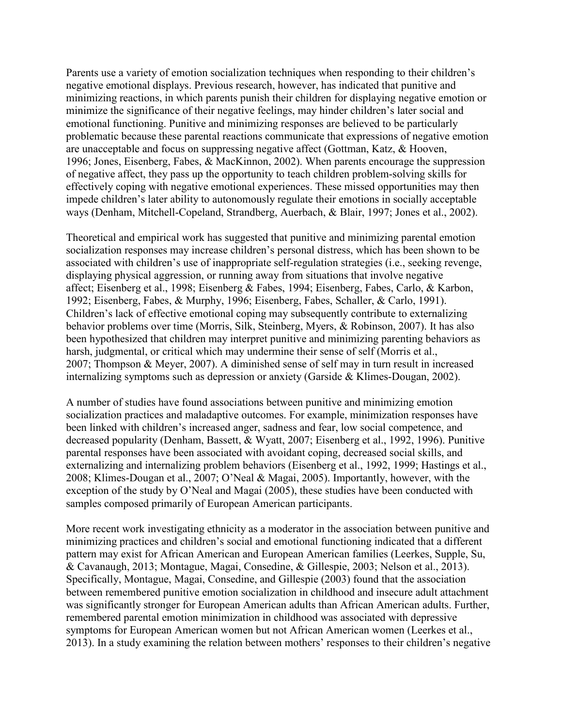Parents use a variety of emotion socialization techniques when responding to their children's negative emotional displays. Previous research, however, has indicated that punitive and minimizing reactions, in which parents punish their children for displaying negative emotion or minimize the significance of their negative feelings, may hinder children's later social and emotional functioning. Punitive and minimizing responses are believed to be particularly problematic because these parental reactions communicate that expressions of negative emotion are unacceptable and focus on suppressing negative affect (Gottman, Katz, & Hooven, 1996; Jones, Eisenberg, Fabes, & MacKinnon, 2002). When parents encourage the suppression of negative affect, they pass up the opportunity to teach children problem-solving skills for effectively coping with negative emotional experiences. These missed opportunities may then impede children's later ability to autonomously regulate their emotions in socially acceptable ways (Denham, Mitchell-Copeland, Strandberg, Auerbach, & Blair, 1997; Jones et al., 2002).

Theoretical and empirical work has suggested that punitive and minimizing parental emotion socialization responses may increase children's personal distress, which has been shown to be associated with children's use of inappropriate self-regulation strategies (i.e., seeking revenge, displaying physical aggression, or running away from situations that involve negative affect; Eisenberg et al., 1998; Eisenberg & Fabes, 1994; Eisenberg, Fabes, Carlo, & Karbon, 1992; Eisenberg, Fabes, & Murphy, 1996; Eisenberg, Fabes, Schaller, & Carlo, 1991). Children's lack of effective emotional coping may subsequently contribute to externalizing behavior problems over time (Morris, Silk, Steinberg, Myers, & Robinson, 2007). It has also been hypothesized that children may interpret punitive and minimizing parenting behaviors as harsh, judgmental, or critical which may undermine their sense of self (Morris et al., 2007; Thompson & Meyer, 2007). A diminished sense of self may in turn result in increased internalizing symptoms such as depression or anxiety (Garside & Klimes-Dougan, 2002).

A number of studies have found associations between punitive and minimizing emotion socialization practices and maladaptive outcomes. For example, minimization responses have been linked with children's increased anger, sadness and fear, low social competence, and decreased popularity (Denham, Bassett, & Wyatt, 2007; Eisenberg et al., 1992, 1996). Punitive parental responses have been associated with avoidant coping, decreased social skills, and externalizing and internalizing problem behaviors (Eisenberg et al., 1992, 1999; Hastings et al., 2008; Klimes-Dougan et al., 2007; O'Neal & Magai, 2005). Importantly, however, with the exception of the study by O'Neal and Magai (2005), these studies have been conducted with samples composed primarily of European American participants.

More recent work investigating ethnicity as a moderator in the association between punitive and minimizing practices and children's social and emotional functioning indicated that a different pattern may exist for African American and European American families (Leerkes, Supple, Su, & Cavanaugh, 2013; Montague, Magai, Consedine, & Gillespie, 2003; Nelson et al., 2013). Specifically, Montague, Magai, Consedine, and Gillespie (2003) found that the association between remembered punitive emotion socialization in childhood and insecure adult attachment was significantly stronger for European American adults than African American adults. Further, remembered parental emotion minimization in childhood was associated with depressive symptoms for European American women but not African American women (Leerkes et al., 2013). In a study examining the relation between mothers' responses to their children's negative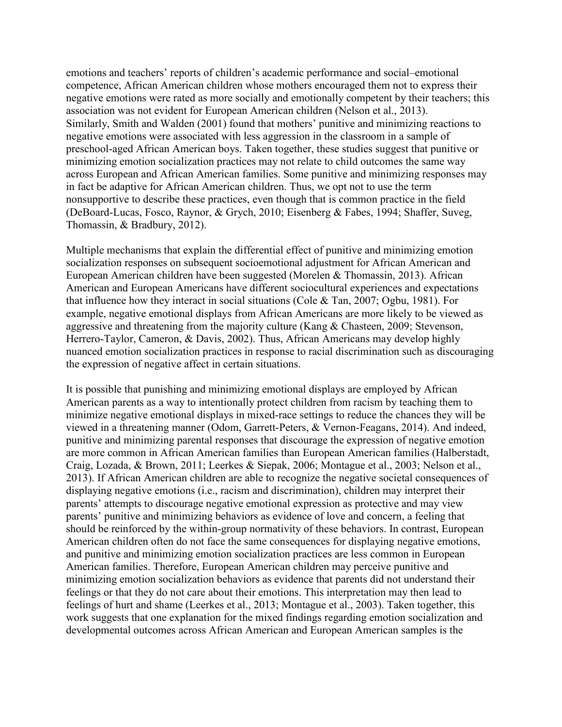emotions and teachers' reports of children's academic performance and social–emotional competence, African American children whose mothers encouraged them not to express their negative emotions were rated as more socially and emotionally competent by their teachers; this association was not evident for European American children (Nelson et al., 2013). Similarly, Smith and Walden (2001) found that mothers' punitive and minimizing reactions to negative emotions were associated with less aggression in the classroom in a sample of preschool-aged African American boys. Taken together, these studies suggest that punitive or minimizing emotion socialization practices may not relate to child outcomes the same way across European and African American families. Some punitive and minimizing responses may in fact be adaptive for African American children. Thus, we opt not to use the term nonsupportive to describe these practices, even though that is common practice in the field (DeBoard-Lucas, Fosco, Raynor, & Grych, 2010; Eisenberg & Fabes, 1994; Shaffer, Suveg, Thomassin, & Bradbury, 2012).

Multiple mechanisms that explain the differential effect of punitive and minimizing emotion socialization responses on subsequent socioemotional adjustment for African American and European American children have been suggested (Morelen & Thomassin, 2013). African American and European Americans have different sociocultural experiences and expectations that influence how they interact in social situations (Cole & Tan, 2007; Ogbu, 1981). For example, negative emotional displays from African Americans are more likely to be viewed as aggressive and threatening from the majority culture (Kang & Chasteen, 2009; Stevenson, Herrero-Taylor, Cameron, & Davis, 2002). Thus, African Americans may develop highly nuanced emotion socialization practices in response to racial discrimination such as discouraging the expression of negative affect in certain situations.

It is possible that punishing and minimizing emotional displays are employed by African American parents as a way to intentionally protect children from racism by teaching them to minimize negative emotional displays in mixed-race settings to reduce the chances they will be viewed in a threatening manner (Odom, Garrett-Peters, & Vernon-Feagans, 2014). And indeed, punitive and minimizing parental responses that discourage the expression of negative emotion are more common in African American families than European American families (Halberstadt, Craig, Lozada, & Brown, 2011; Leerkes & Siepak, 2006; Montague et al., 2003; Nelson et al., 2013). If African American children are able to recognize the negative societal consequences of displaying negative emotions (i.e., racism and discrimination), children may interpret their parents' attempts to discourage negative emotional expression as protective and may view parents' punitive and minimizing behaviors as evidence of love and concern, a feeling that should be reinforced by the within-group normativity of these behaviors. In contrast, European American children often do not face the same consequences for displaying negative emotions, and punitive and minimizing emotion socialization practices are less common in European American families. Therefore, European American children may perceive punitive and minimizing emotion socialization behaviors as evidence that parents did not understand their feelings or that they do not care about their emotions. This interpretation may then lead to feelings of hurt and shame (Leerkes et al., 2013; Montague et al., 2003). Taken together, this work suggests that one explanation for the mixed findings regarding emotion socialization and developmental outcomes across African American and European American samples is the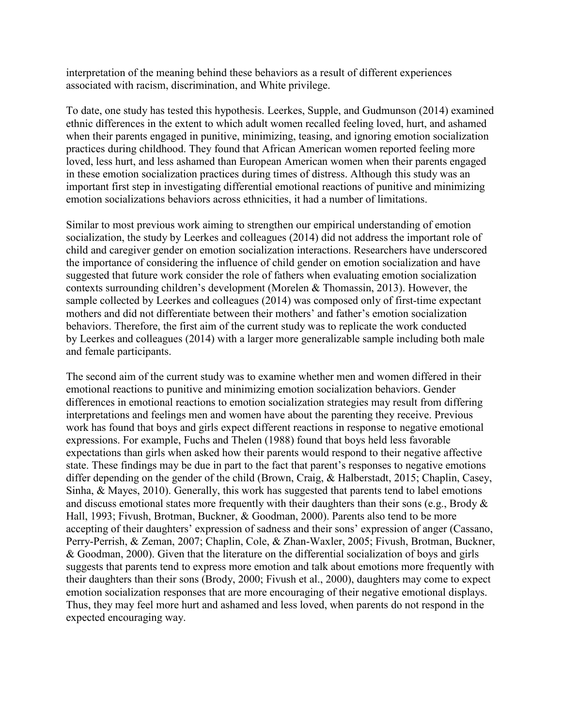interpretation of the meaning behind these behaviors as a result of different experiences associated with racism, discrimination, and White privilege.

To date, one study has tested this hypothesis. Leerkes, Supple, and Gudmunson (2014) examined ethnic differences in the extent to which adult women recalled feeling loved, hurt, and ashamed when their parents engaged in punitive, minimizing, teasing, and ignoring emotion socialization practices during childhood. They found that African American women reported feeling more loved, less hurt, and less ashamed than European American women when their parents engaged in these emotion socialization practices during times of distress. Although this study was an important first step in investigating differential emotional reactions of punitive and minimizing emotion socializations behaviors across ethnicities, it had a number of limitations.

Similar to most previous work aiming to strengthen our empirical understanding of emotion socialization, the study by Leerkes and colleagues (2014) did not address the important role of child and caregiver gender on emotion socialization interactions. Researchers have underscored the importance of considering the influence of child gender on emotion socialization and have suggested that future work consider the role of fathers when evaluating emotion socialization contexts surrounding children's development (Morelen & Thomassin, 2013). However, the sample collected by Leerkes and colleagues (2014) was composed only of first-time expectant mothers and did not differentiate between their mothers' and father's emotion socialization behaviors. Therefore, the first aim of the current study was to replicate the work conducted by Leerkes and colleagues (2014) with a larger more generalizable sample including both male and female participants.

The second aim of the current study was to examine whether men and women differed in their emotional reactions to punitive and minimizing emotion socialization behaviors. Gender differences in emotional reactions to emotion socialization strategies may result from differing interpretations and feelings men and women have about the parenting they receive. Previous work has found that boys and girls expect different reactions in response to negative emotional expressions. For example, Fuchs and Thelen (1988) found that boys held less favorable expectations than girls when asked how their parents would respond to their negative affective state. These findings may be due in part to the fact that parent's responses to negative emotions differ depending on the gender of the child (Brown, Craig, & Halberstadt, 2015; Chaplin, Casey, Sinha, & Mayes, 2010). Generally, this work has suggested that parents tend to label emotions and discuss emotional states more frequently with their daughters than their sons (e.g., Brody & Hall, 1993; Fivush, Brotman, Buckner, & Goodman, 2000). Parents also tend to be more accepting of their daughters' expression of sadness and their sons' expression of anger (Cassano, Perry-Perrish, & Zeman, 2007; Chaplin, Cole, & Zhan-Waxler, 2005; Fivush, Brotman, Buckner, & Goodman, 2000). Given that the literature on the differential socialization of boys and girls suggests that parents tend to express more emotion and talk about emotions more frequently with their daughters than their sons (Brody, 2000; Fivush et al., 2000), daughters may come to expect emotion socialization responses that are more encouraging of their negative emotional displays. Thus, they may feel more hurt and ashamed and less loved, when parents do not respond in the expected encouraging way.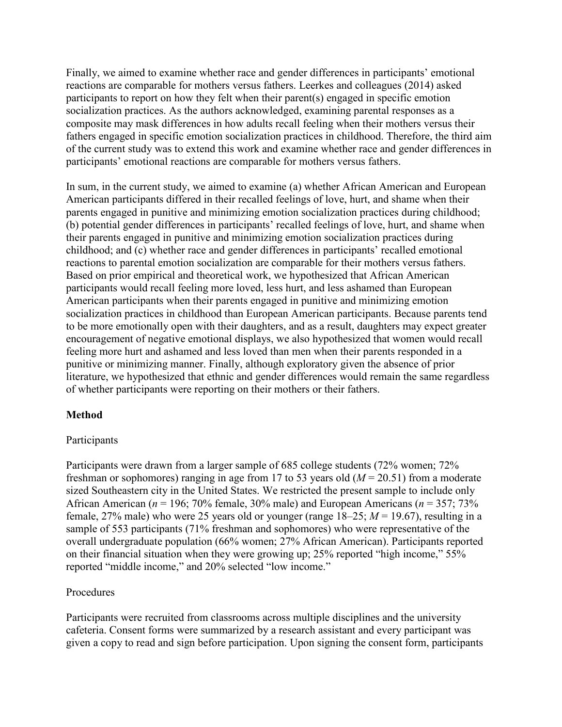Finally, we aimed to examine whether race and gender differences in participants' emotional reactions are comparable for mothers versus fathers. Leerkes and colleagues (2014) asked participants to report on how they felt when their parent(s) engaged in specific emotion socialization practices. As the authors acknowledged, examining parental responses as a composite may mask differences in how adults recall feeling when their mothers versus their fathers engaged in specific emotion socialization practices in childhood. Therefore, the third aim of the current study was to extend this work and examine whether race and gender differences in participants' emotional reactions are comparable for mothers versus fathers.

In sum, in the current study, we aimed to examine (a) whether African American and European American participants differed in their recalled feelings of love, hurt, and shame when their parents engaged in punitive and minimizing emotion socialization practices during childhood; (b) potential gender differences in participants' recalled feelings of love, hurt, and shame when their parents engaged in punitive and minimizing emotion socialization practices during childhood; and (c) whether race and gender differences in participants' recalled emotional reactions to parental emotion socialization are comparable for their mothers versus fathers. Based on prior empirical and theoretical work, we hypothesized that African American participants would recall feeling more loved, less hurt, and less ashamed than European American participants when their parents engaged in punitive and minimizing emotion socialization practices in childhood than European American participants. Because parents tend to be more emotionally open with their daughters, and as a result, daughters may expect greater encouragement of negative emotional displays, we also hypothesized that women would recall feeling more hurt and ashamed and less loved than men when their parents responded in a punitive or minimizing manner. Finally, although exploratory given the absence of prior literature, we hypothesized that ethnic and gender differences would remain the same regardless of whether participants were reporting on their mothers or their fathers.

## **Method**

## Participants

Participants were drawn from a larger sample of 685 college students (72% women; 72% freshman or sophomores) ranging in age from 17 to 53 years old (*M* = 20.51) from a moderate sized Southeastern city in the United States. We restricted the present sample to include only African American (*n* = 196; 70% female, 30% male) and European Americans (*n* = 357; 73% female, 27% male) who were 25 years old or younger (range  $18-25$ ;  $M = 19.67$ ), resulting in a sample of 553 participants (71% freshman and sophomores) who were representative of the overall undergraduate population (66% women; 27% African American). Participants reported on their financial situation when they were growing up; 25% reported "high income," 55% reported "middle income," and 20% selected "low income."

## Procedures

Participants were recruited from classrooms across multiple disciplines and the university cafeteria. Consent forms were summarized by a research assistant and every participant was given a copy to read and sign before participation. Upon signing the consent form, participants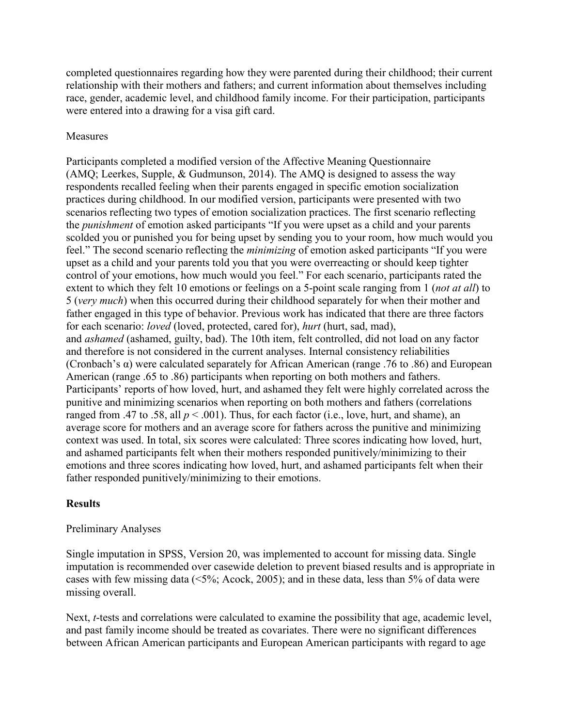completed questionnaires regarding how they were parented during their childhood; their current relationship with their mothers and fathers; and current information about themselves including race, gender, academic level, and childhood family income. For their participation, participants were entered into a drawing for a visa gift card.

## Measures

Participants completed a modified version of the Affective Meaning Questionnaire (AMQ; Leerkes, Supple, & Gudmunson, 2014). The AMQ is designed to assess the way respondents recalled feeling when their parents engaged in specific emotion socialization practices during childhood. In our modified version, participants were presented with two scenarios reflecting two types of emotion socialization practices. The first scenario reflecting the *punishment* of emotion asked participants "If you were upset as a child and your parents scolded you or punished you for being upset by sending you to your room, how much would you feel." The second scenario reflecting the *minimizing* of emotion asked participants "If you were upset as a child and your parents told you that you were overreacting or should keep tighter control of your emotions, how much would you feel." For each scenario, participants rated the extent to which they felt 10 emotions or feelings on a 5-point scale ranging from 1 (*not at all*) to 5 (*very much*) when this occurred during their childhood separately for when their mother and father engaged in this type of behavior. Previous work has indicated that there are three factors for each scenario: *loved* (loved, protected, cared for), *hurt* (hurt, sad, mad), and *ashamed* (ashamed, guilty, bad). The 10th item, felt controlled, did not load on any factor and therefore is not considered in the current analyses. Internal consistency reliabilities (Cronbach's  $\alpha$ ) were calculated separately for African American (range .76 to .86) and European American (range .65 to .86) participants when reporting on both mothers and fathers. Participants' reports of how loved, hurt, and ashamed they felt were highly correlated across the punitive and minimizing scenarios when reporting on both mothers and fathers (correlations ranged from .47 to .58, all  $p < .001$ ). Thus, for each factor (i.e., love, hurt, and shame), an average score for mothers and an average score for fathers across the punitive and minimizing context was used. In total, six scores were calculated: Three scores indicating how loved, hurt, and ashamed participants felt when their mothers responded punitively/minimizing to their emotions and three scores indicating how loved, hurt, and ashamed participants felt when their father responded punitively/minimizing to their emotions.

## **Results**

## Preliminary Analyses

Single imputation in SPSS, Version 20, was implemented to account for missing data. Single imputation is recommended over casewide deletion to prevent biased results and is appropriate in cases with few missing data (<5%; Acock, 2005); and in these data, less than 5% of data were missing overall.

Next, *t*-tests and correlations were calculated to examine the possibility that age, academic level, and past family income should be treated as covariates. There were no significant differences between African American participants and European American participants with regard to age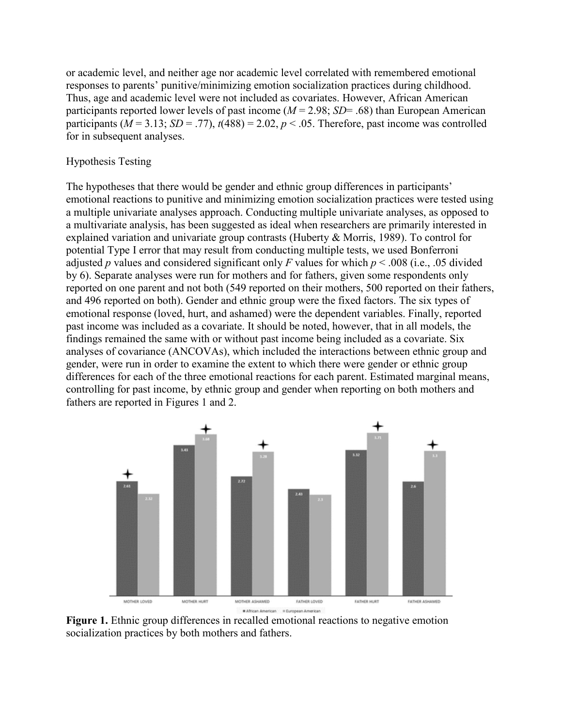or academic level, and neither age nor academic level correlated with remembered emotional responses to parents' punitive/minimizing emotion socialization practices during childhood. Thus, age and academic level were not included as covariates. However, African American participants reported lower levels of past income (*M* = 2.98; *SD*= .68) than European American participants ( $M = 3.13$ ;  $SD = .77$ ),  $t(488) = 2.02$ ,  $p < .05$ . Therefore, past income was controlled for in subsequent analyses.

#### Hypothesis Testing

The hypotheses that there would be gender and ethnic group differences in participants' emotional reactions to punitive and minimizing emotion socialization practices were tested using a multiple univariate analyses approach. Conducting multiple univariate analyses, as opposed to a multivariate analysis, has been suggested as ideal when researchers are primarily interested in explained variation and univariate group contrasts (Huberty & Morris, 1989). To control for potential Type I error that may result from conducting multiple tests, we used Bonferroni adjusted *p* values and considered significant only *F* values for which  $p < .008$  (i.e., .05 divided by 6). Separate analyses were run for mothers and for fathers, given some respondents only reported on one parent and not both (549 reported on their mothers, 500 reported on their fathers, and 496 reported on both). Gender and ethnic group were the fixed factors. The six types of emotional response (loved, hurt, and ashamed) were the dependent variables. Finally, reported past income was included as a covariate. It should be noted, however, that in all models, the findings remained the same with or without past income being included as a covariate. Six analyses of covariance (ANCOVAs), which included the interactions between ethnic group and gender, were run in order to examine the extent to which there were gender or ethnic group differences for each of the three emotional reactions for each parent. Estimated marginal means, controlling for past income, by ethnic group and gender when reporting on both mothers and fathers are reported in Figures 1 and 2.



**Figure 1.** Ethnic group differences in recalled emotional reactions to negative emotion socialization practices by both mothers and fathers.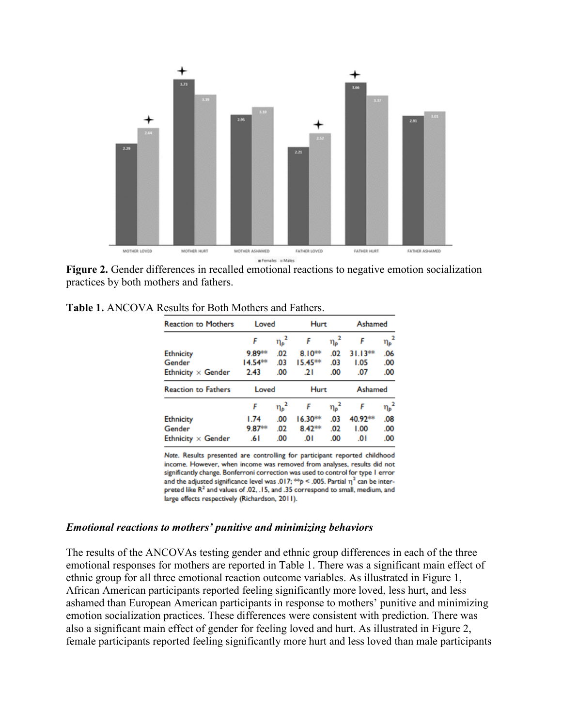

**Figure 2.** Gender differences in recalled emotional reactions to negative emotion socialization practices by both mothers and fathers.

| <b>Reaction to Mothers</b> | Loved  |                   | Hurt      |                 | Ashamed |            |
|----------------------------|--------|-------------------|-----------|-----------------|---------|------------|
|                            | F      | $\eta_{\rho}^2$   | F         | ${\eta_\rho}^2$ | F       | $\eta_p^2$ |
| <b>Ethnicity</b>           | 9.89** | .02               | $8.10***$ | .02             | 31.13** | .06        |
| Gender                     | 14.54  | .03               | 15.45**   | .03             | 1.05    | .00        |
| Ethnicity $\times$ Gender  | 2.43   | .00               | .21       | .00             | .07     | .00        |
| <b>Reaction to Fathers</b> | Loved  |                   | Hurt      |                 | Ashamed |            |
|                            | F      | $\eta_{\rho}^{2}$ | F         | $\eta_{\rho}^2$ | F       | $\eta_p^2$ |
| <b>Ethnicity</b>           | 1.74   | .00               | $16.30**$ | .03             | 40.92** | .08        |
| Gender                     | 9.87** | .02               | 8.42**    | .02             | 1.00    | .00        |
| Ethnicity $\times$ Gender  | .61    | .00               | .01       | .00             | .01     | .00        |

**Table 1.** ANCOVA Results for Both Mothers and Fathers.

Note. Results presented are controlling for participant reported childhood income. However, when income was removed from analyses, results did not significantly change. Bonferroni correction was used to control for type I error and the adjusted significance level was .017; \*\*  $p$  < .005. Partial  $\eta^2$  can be interpreted like R<sup>2</sup> and values of .02, .15, and .35 correspond to small, medium, and large effects respectively (Richardson, 2011).

#### *Emotional reactions to mothers' punitive and minimizing behaviors*

The results of the ANCOVAs testing gender and ethnic group differences in each of the three emotional responses for mothers are reported in Table 1. There was a significant main effect of ethnic group for all three emotional reaction outcome variables. As illustrated in Figure 1, African American participants reported feeling significantly more loved, less hurt, and less ashamed than European American participants in response to mothers' punitive and minimizing emotion socialization practices. These differences were consistent with prediction. There was also a significant main effect of gender for feeling loved and hurt. As illustrated in Figure 2, female participants reported feeling significantly more hurt and less loved than male participants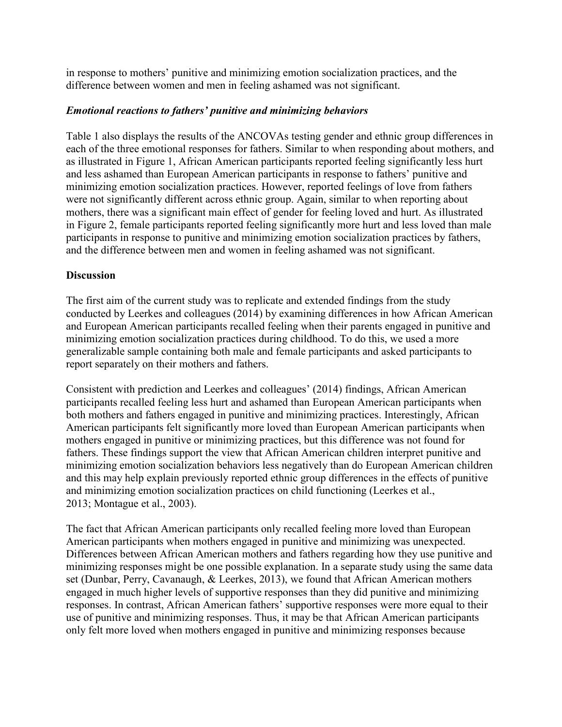in response to mothers' punitive and minimizing emotion socialization practices, and the difference between women and men in feeling ashamed was not significant.

## *Emotional reactions to fathers' punitive and minimizing behaviors*

Table 1 also displays the results of the ANCOVAs testing gender and ethnic group differences in each of the three emotional responses for fathers. Similar to when responding about mothers, and as illustrated in Figure 1, African American participants reported feeling significantly less hurt and less ashamed than European American participants in response to fathers' punitive and minimizing emotion socialization practices. However, reported feelings of love from fathers were not significantly different across ethnic group. Again, similar to when reporting about mothers, there was a significant main effect of gender for feeling loved and hurt. As illustrated in Figure 2, female participants reported feeling significantly more hurt and less loved than male participants in response to punitive and minimizing emotion socialization practices by fathers, and the difference between men and women in feeling ashamed was not significant.

## **Discussion**

The first aim of the current study was to replicate and extended findings from the study conducted by Leerkes and colleagues (2014) by examining differences in how African American and European American participants recalled feeling when their parents engaged in punitive and minimizing emotion socialization practices during childhood. To do this, we used a more generalizable sample containing both male and female participants and asked participants to report separately on their mothers and fathers.

Consistent with prediction and Leerkes and colleagues' (2014) findings, African American participants recalled feeling less hurt and ashamed than European American participants when both mothers and fathers engaged in punitive and minimizing practices. Interestingly, African American participants felt significantly more loved than European American participants when mothers engaged in punitive or minimizing practices, but this difference was not found for fathers. These findings support the view that African American children interpret punitive and minimizing emotion socialization behaviors less negatively than do European American children and this may help explain previously reported ethnic group differences in the effects of punitive and minimizing emotion socialization practices on child functioning (Leerkes et al., 2013; Montague et al., 2003).

The fact that African American participants only recalled feeling more loved than European American participants when mothers engaged in punitive and minimizing was unexpected. Differences between African American mothers and fathers regarding how they use punitive and minimizing responses might be one possible explanation. In a separate study using the same data set (Dunbar, Perry, Cavanaugh, & Leerkes, 2013), we found that African American mothers engaged in much higher levels of supportive responses than they did punitive and minimizing responses. In contrast, African American fathers' supportive responses were more equal to their use of punitive and minimizing responses. Thus, it may be that African American participants only felt more loved when mothers engaged in punitive and minimizing responses because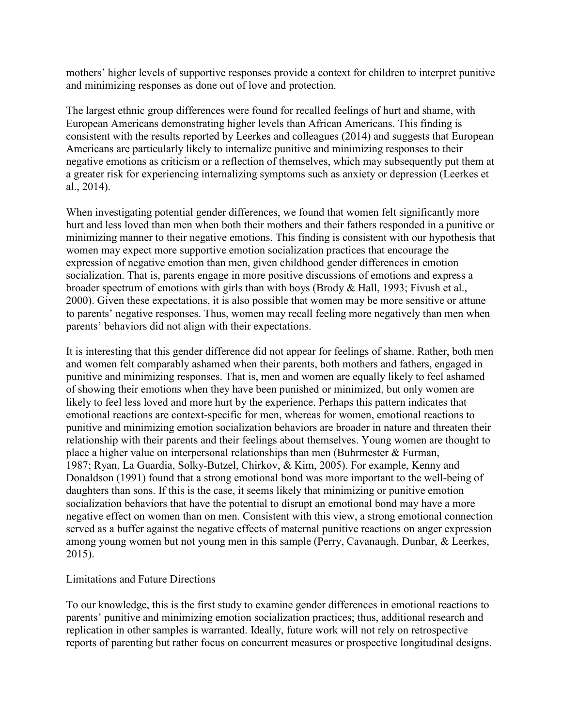mothers' higher levels of supportive responses provide a context for children to interpret punitive and minimizing responses as done out of love and protection.

The largest ethnic group differences were found for recalled feelings of hurt and shame, with European Americans demonstrating higher levels than African Americans. This finding is consistent with the results reported by Leerkes and colleagues (2014) and suggests that European Americans are particularly likely to internalize punitive and minimizing responses to their negative emotions as criticism or a reflection of themselves, which may subsequently put them at a greater risk for experiencing internalizing symptoms such as anxiety or depression (Leerkes et al., 2014).

When investigating potential gender differences, we found that women felt significantly more hurt and less loved than men when both their mothers and their fathers responded in a punitive or minimizing manner to their negative emotions. This finding is consistent with our hypothesis that women may expect more supportive emotion socialization practices that encourage the expression of negative emotion than men, given childhood gender differences in emotion socialization. That is, parents engage in more positive discussions of emotions and express a broader spectrum of emotions with girls than with boys (Brody & Hall, 1993; Fivush et al., 2000). Given these expectations, it is also possible that women may be more sensitive or attune to parents' negative responses. Thus, women may recall feeling more negatively than men when parents' behaviors did not align with their expectations.

It is interesting that this gender difference did not appear for feelings of shame. Rather, both men and women felt comparably ashamed when their parents, both mothers and fathers, engaged in punitive and minimizing responses. That is, men and women are equally likely to feel ashamed of showing their emotions when they have been punished or minimized, but only women are likely to feel less loved and more hurt by the experience. Perhaps this pattern indicates that emotional reactions are context-specific for men, whereas for women, emotional reactions to punitive and minimizing emotion socialization behaviors are broader in nature and threaten their relationship with their parents and their feelings about themselves. Young women are thought to place a higher value on interpersonal relationships than men (Buhrmester & Furman, 1987; Ryan, La Guardia, Solky-Butzel, Chirkov, & Kim, 2005). For example, Kenny and Donaldson (1991) found that a strong emotional bond was more important to the well-being of daughters than sons. If this is the case, it seems likely that minimizing or punitive emotion socialization behaviors that have the potential to disrupt an emotional bond may have a more negative effect on women than on men. Consistent with this view, a strong emotional connection served as a buffer against the negative effects of maternal punitive reactions on anger expression among young women but not young men in this sample (Perry, Cavanaugh, Dunbar, & Leerkes, 2015).

## Limitations and Future Directions

To our knowledge, this is the first study to examine gender differences in emotional reactions to parents' punitive and minimizing emotion socialization practices; thus, additional research and replication in other samples is warranted. Ideally, future work will not rely on retrospective reports of parenting but rather focus on concurrent measures or prospective longitudinal designs.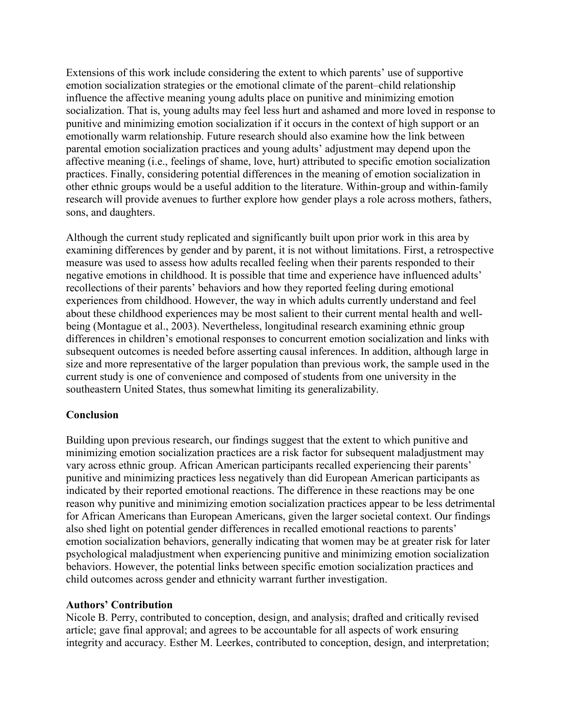Extensions of this work include considering the extent to which parents' use of supportive emotion socialization strategies or the emotional climate of the parent–child relationship influence the affective meaning young adults place on punitive and minimizing emotion socialization. That is, young adults may feel less hurt and ashamed and more loved in response to punitive and minimizing emotion socialization if it occurs in the context of high support or an emotionally warm relationship. Future research should also examine how the link between parental emotion socialization practices and young adults' adjustment may depend upon the affective meaning (i.e., feelings of shame, love, hurt) attributed to specific emotion socialization practices. Finally, considering potential differences in the meaning of emotion socialization in other ethnic groups would be a useful addition to the literature. Within-group and within-family research will provide avenues to further explore how gender plays a role across mothers, fathers, sons, and daughters.

Although the current study replicated and significantly built upon prior work in this area by examining differences by gender and by parent, it is not without limitations. First, a retrospective measure was used to assess how adults recalled feeling when their parents responded to their negative emotions in childhood. It is possible that time and experience have influenced adults' recollections of their parents' behaviors and how they reported feeling during emotional experiences from childhood. However, the way in which adults currently understand and feel about these childhood experiences may be most salient to their current mental health and wellbeing (Montague et al., 2003). Nevertheless, longitudinal research examining ethnic group differences in children's emotional responses to concurrent emotion socialization and links with subsequent outcomes is needed before asserting causal inferences. In addition, although large in size and more representative of the larger population than previous work, the sample used in the current study is one of convenience and composed of students from one university in the southeastern United States, thus somewhat limiting its generalizability.

## **Conclusion**

Building upon previous research, our findings suggest that the extent to which punitive and minimizing emotion socialization practices are a risk factor for subsequent maladjustment may vary across ethnic group. African American participants recalled experiencing their parents' punitive and minimizing practices less negatively than did European American participants as indicated by their reported emotional reactions. The difference in these reactions may be one reason why punitive and minimizing emotion socialization practices appear to be less detrimental for African Americans than European Americans, given the larger societal context. Our findings also shed light on potential gender differences in recalled emotional reactions to parents' emotion socialization behaviors, generally indicating that women may be at greater risk for later psychological maladjustment when experiencing punitive and minimizing emotion socialization behaviors. However, the potential links between specific emotion socialization practices and child outcomes across gender and ethnicity warrant further investigation.

## **Authors' Contribution**

Nicole B. Perry, contributed to conception, design, and analysis; drafted and critically revised article; gave final approval; and agrees to be accountable for all aspects of work ensuring integrity and accuracy. Esther M. Leerkes, contributed to conception, design, and interpretation;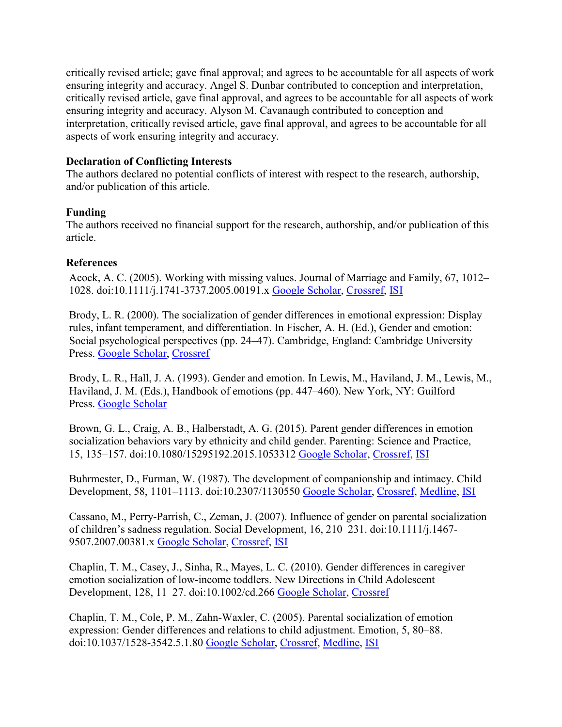critically revised article; gave final approval; and agrees to be accountable for all aspects of work ensuring integrity and accuracy. Angel S. Dunbar contributed to conception and interpretation, critically revised article, gave final approval, and agrees to be accountable for all aspects of work ensuring integrity and accuracy. Alyson M. Cavanaugh contributed to conception and interpretation, critically revised article, gave final approval, and agrees to be accountable for all aspects of work ensuring integrity and accuracy.

## **Declaration of Conflicting Interests**

The authors declared no potential conflicts of interest with respect to the research, authorship, and/or publication of this article.

## **Funding**

The authors received no financial support for the research, authorship, and/or publication of this article.

## **References**

Acock, A. C. (2005). Working with missing values. Journal of Marriage and Family, 67, 1012– 1028. doi:10.1111/j.1741-3737.2005.00191.x [Google Scholar,](http://scholar.google.com/scholar_lookup?hl=en&publication_year=2005&pages=1012-1028&author=A.+C.+Acock&title=Working+with+missing+values&) [Crossref,](http://journals.sagepub.com/servlet/linkout?suffix=bibr1-2167696816653856&dbid=16&doi=10.1177%2F2167696816653856&key=10.1111%2Fj.1741-3737.2005.00191.x) [ISI](http://journals.sagepub.com/servlet/linkout?suffix=bibr1-2167696816653856&dbid=128&doi=10.1177%2F2167696816653856&key=000232608700018)

Brody, L. R. (2000). The socialization of gender differences in emotional expression: Display rules, infant temperament, and differentiation. In Fischer, A. H. (Ed.), Gender and emotion: Social psychological perspectives (pp. 24–47). Cambridge, England: Cambridge University Press. [Google Scholar,](http://scholar.google.com/scholar_lookup?hl=en&publication_year=2000&pages=24-47&author=L.+R.+Brody&title=The+socialization+of+gender+differences+in+emotional+expression%3A+Display+rules%2C+infant+temperament%2C+and+differentiation) [Crossref](http://journals.sagepub.com/servlet/linkout?suffix=bibr2-2167696816653856&dbid=16&doi=10.1177%2F2167696816653856&key=10.1017%2FCBO9780511628191.003)

Brody, L. R., Hall, J. A. (1993). Gender and emotion. In Lewis, M., Haviland, J. M., Lewis, M., Haviland, J. M. (Eds.), Handbook of emotions (pp. 447–460). New York, NY: Guilford Press. [Google Scholar](http://scholar.google.com/scholar_lookup?hl=en&publication_year=1993&pages=447-460&author=L.+R.+Brody&author=J.+A.+Hall&title=Gender+and+emotion)

Brown, G. L., Craig, A. B., Halberstadt, A. G. (2015). Parent gender differences in emotion socialization behaviors vary by ethnicity and child gender. Parenting: Science and Practice, 15, 135–157. doi:10.1080/15295192.2015.1053312 [Google Scholar,](http://scholar.google.com/scholar_lookup?hl=en&publication_year=2015&pages=135-157&author=G.+L.+Brown&author=A.+B.+Craig&author=A.+G.+Halberstadt&title=Parent+gender+differences+in+emotion+socialization+behaviors+vary+by+ethnicity+and+child+gender&) [Crossref,](http://journals.sagepub.com/servlet/linkout?suffix=bibr4-2167696816653856&dbid=16&doi=10.1177%2F2167696816653856&key=10.1080%2F15295192.2015.1053312) [ISI](http://journals.sagepub.com/servlet/linkout?suffix=bibr4-2167696816653856&dbid=128&doi=10.1177%2F2167696816653856&key=000359528600001)

Buhrmester, D., Furman, W. (1987). The development of companionship and intimacy. Child Development, 58, 1101–1113. doi:10.2307/1130550 [Google Scholar,](http://scholar.google.com/scholar_lookup?hl=en&publication_year=1987&pages=1101-1113&author=D.+Buhrmester&author=W.+Furman&title=The+development+of+companionship+and+intimacy&) [Crossref,](http://journals.sagepub.com/servlet/linkout?suffix=bibr5-2167696816653856&dbid=16&doi=10.1177%2F2167696816653856&key=10.2307%2F1130550) [Medline,](http://journals.sagepub.com/servlet/linkout?suffix=bibr5-2167696816653856&dbid=8&doi=10.1177%2F2167696816653856&key=3608659) [ISI](http://journals.sagepub.com/servlet/linkout?suffix=bibr5-2167696816653856&dbid=128&doi=10.1177%2F2167696816653856&key=A1987J305700021)

Cassano, M., Perry-Parrish, C., Zeman, J. (2007). Influence of gender on parental socialization of children's sadness regulation. Social Development, 16, 210–231. doi:10.1111/j.1467- 9507.2007.00381.x [Google Scholar,](http://scholar.google.com/scholar_lookup?hl=en&publication_year=2007&pages=210-231&author=M.+Cassano&author=C.+Perry-Parrish&author=J.+Zeman&title=Influence+of+gender+on+parental+socialization+of+children%E2%80%99s+sadness+regulation&) [Crossref,](http://journals.sagepub.com/servlet/linkout?suffix=bibr6-2167696816653856&dbid=16&doi=10.1177%2F2167696816653856&key=10.1111%2Fj.1467-9507.2007.00381.x) [ISI](http://journals.sagepub.com/servlet/linkout?suffix=bibr6-2167696816653856&dbid=128&doi=10.1177%2F2167696816653856&key=000246040700002)

Chaplin, T. M., Casey, J., Sinha, R., Mayes, L. C. (2010). Gender differences in caregiver emotion socialization of low-income toddlers. New Directions in Child Adolescent Development, 128, 11–27. doi:10.1002/cd.266 [Google Scholar,](http://scholar.google.com/scholar_lookup?hl=en&publication_year=2010&pages=11-27&author=T.+M.+Chaplin&author=J.+Casey&author=R.+Sinha&author=L.+C.+Mayes&title=Gender+differences+in+caregiver+emotion+socialization+of+low-income+toddlers&) [Crossref](http://journals.sagepub.com/servlet/linkout?suffix=bibr7-2167696816653856&dbid=16&doi=10.1177%2F2167696816653856&key=10.1002%2Fcd.266)

Chaplin, T. M., Cole, P. M., Zahn-Waxler, C. (2005). Parental socialization of emotion expression: Gender differences and relations to child adjustment. Emotion, 5, 80–88. doi:10.1037/1528-3542.5.1.80 [Google Scholar,](http://scholar.google.com/scholar_lookup?hl=en&publication_year=2005&pages=80-88&author=T.+M.+Chaplin&author=P.+M.+Cole&author=C.+Zahn-Waxler&title=Parental+socialization+of+emotion+expression%3A+Gender+differences+and+relations+to+child+adjustment&) [Crossref,](http://journals.sagepub.com/servlet/linkout?suffix=bibr8-2167696816653856&dbid=16&doi=10.1177%2F2167696816653856&key=10.1037%2F1528-3542.5.1.80) [Medline,](http://journals.sagepub.com/servlet/linkout?suffix=bibr8-2167696816653856&dbid=8&doi=10.1177%2F2167696816653856&key=15755221) [ISI](http://journals.sagepub.com/servlet/linkout?suffix=bibr8-2167696816653856&dbid=128&doi=10.1177%2F2167696816653856&key=000227768200007)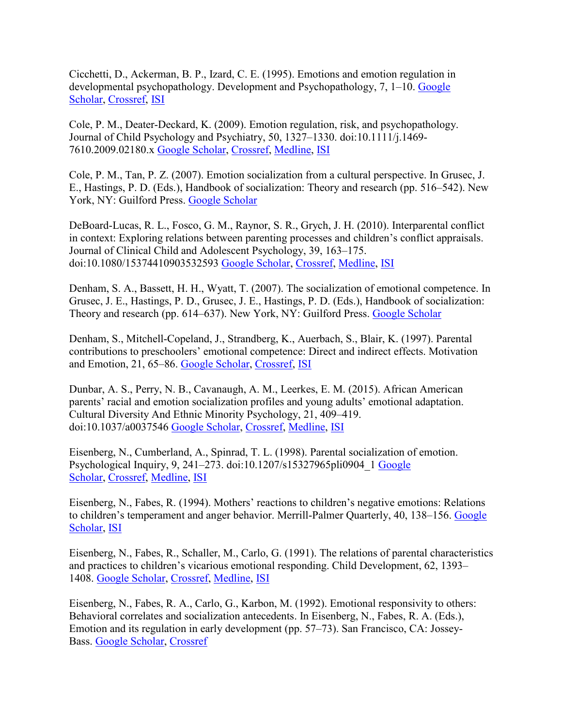Cicchetti, D., Ackerman, B. P., Izard, C. E. (1995). Emotions and emotion regulation in developmental psychopathology. Development and Psychopathology, 7, 1–10. [Google](http://scholar.google.com/scholar_lookup?hl=en&publication_year=1995&pages=1-10&author=D.+Cicchetti&author=B.+P.+Ackerman&author=C.+E.+Izard&title=Emotions+and+emotion+regulation+in+developmental+psychopathology&)  [Scholar,](http://scholar.google.com/scholar_lookup?hl=en&publication_year=1995&pages=1-10&author=D.+Cicchetti&author=B.+P.+Ackerman&author=C.+E.+Izard&title=Emotions+and+emotion+regulation+in+developmental+psychopathology&) [Crossref,](http://journals.sagepub.com/servlet/linkout?suffix=bibr9-2167696816653856&dbid=16&doi=10.1177%2F2167696816653856&key=10.1017%2FS0954579400006301) [ISI](http://journals.sagepub.com/servlet/linkout?suffix=bibr9-2167696816653856&dbid=128&doi=10.1177%2F2167696816653856&key=A1995QW17900001)

Cole, P. M., Deater-Deckard, K. (2009). Emotion regulation, risk, and psychopathology. Journal of Child Psychology and Psychiatry, 50, 1327–1330. doi:10.1111/j.1469- 7610.2009.02180.x [Google Scholar,](http://scholar.google.com/scholar_lookup?hl=en&publication_year=2009&pages=1327-1330&author=P.+M.+Cole&author=K.+Deater-Deckard&title=Emotion+regulation%2C+risk%2C+and+psychopathology&) [Crossref,](http://journals.sagepub.com/servlet/linkout?suffix=bibr10-2167696816653856&dbid=16&doi=10.1177%2F2167696816653856&key=10.1111%2Fj.1469-7610.2009.02180.x) [Medline,](http://journals.sagepub.com/servlet/linkout?suffix=bibr10-2167696816653856&dbid=8&doi=10.1177%2F2167696816653856&key=19843190) [ISI](http://journals.sagepub.com/servlet/linkout?suffix=bibr10-2167696816653856&dbid=128&doi=10.1177%2F2167696816653856&key=000270829100001)

Cole, P. M., Tan, P. Z. (2007). Emotion socialization from a cultural perspective. In Grusec, J. E., Hastings, P. D. (Eds.), Handbook of socialization: Theory and research (pp. 516–542). New York, NY: Guilford Press. [Google Scholar](http://scholar.google.com/scholar_lookup?hl=en&publication_year=2007&pages=516-542&author=P.+M.+Cole&author=P.+Z.+Tan&title=Emotion+socialization+from+a+cultural+perspective)

DeBoard-Lucas, R. L., Fosco, G. M., Raynor, S. R., Grych, J. H. (2010). Interparental conflict in context: Exploring relations between parenting processes and children's conflict appraisals. Journal of Clinical Child and Adolescent Psychology, 39, 163–175. doi:10.1080/15374410903532593 [Google Scholar,](http://scholar.google.com/scholar_lookup?hl=en&publication_year=2010&pages=163-175&author=R.+L.+DeBoard-Lucas&author=G.+M.+Fosco&author=S.+R.+Raynor&author=J.+H.+Grych&title=Interparental+conflict+in+context%3A+Exploring+relations+between+parenting+processes+and+children%E2%80%99s+conflict+appraisals&) [Crossref,](http://journals.sagepub.com/servlet/linkout?suffix=bibr12-2167696816653856&dbid=16&doi=10.1177%2F2167696816653856&key=10.1080%2F15374410903532593) [Medline,](http://journals.sagepub.com/servlet/linkout?suffix=bibr12-2167696816653856&dbid=8&doi=10.1177%2F2167696816653856&key=20390808) [ISI](http://journals.sagepub.com/servlet/linkout?suffix=bibr12-2167696816653856&dbid=128&doi=10.1177%2F2167696816653856&key=000276347300002)

Denham, S. A., Bassett, H. H., Wyatt, T. (2007). The socialization of emotional competence. In Grusec, J. E., Hastings, P. D., Grusec, J. E., Hastings, P. D. (Eds.), Handbook of socialization: Theory and research (pp. 614–637). New York, NY: Guilford Press. [Google Scholar](http://scholar.google.com/scholar_lookup?hl=en&publication_year=2007&pages=614-637&author=S.+A.+Denham&author=H.+H.+Bassett&author=T.+Wyatt&title=The+socialization+of+emotional+competence)

Denham, S., Mitchell-Copeland, J., Strandberg, K., Auerbach, S., Blair, K. (1997). Parental contributions to preschoolers' emotional competence: Direct and indirect effects. Motivation and Emotion, 21, 65–86. [Google Scholar,](http://scholar.google.com/scholar_lookup?hl=en&publication_year=1997&pages=65-86&author=S.+Denham&author=J.+Mitchell-Copeland&author=K.+Strandberg&author=S.+Auerbach&author=K.+Blair&title=Parental+contributions+to+preschoolers%E2%80%99+emotional+competence%3A+Direct+and+indirect+effects&) [Crossref,](http://journals.sagepub.com/servlet/linkout?suffix=bibr14-2167696816653856&dbid=16&doi=10.1177%2F2167696816653856&key=10.1023%2FA%3A1024426431247) [ISI](http://journals.sagepub.com/servlet/linkout?suffix=bibr14-2167696816653856&dbid=128&doi=10.1177%2F2167696816653856&key=A1997XE04800005)

Dunbar, A. S., Perry, N. B., Cavanaugh, A. M., Leerkes, E. M. (2015). African American parents' racial and emotion socialization profiles and young adults' emotional adaptation. Cultural Diversity And Ethnic Minority Psychology, 21, 409–419. doi:10.1037/a0037546 [Google Scholar,](http://scholar.google.com/scholar_lookup?hl=en&publication_year=2015&pages=409-419&author=A.+S.+Dunbar&author=N.+B.+Perry&author=A.+M.+Cavanaugh&author=E.+M.+Leerkes&title=African+American+parents%E2%80%99+racial+and+emotion+socialization+profiles+and+young+adults%E2%80%99+emotional+adaptation&) [Crossref,](http://journals.sagepub.com/servlet/linkout?suffix=bibr15-2167696816653856&dbid=16&doi=10.1177%2F2167696816653856&key=10.1037%2Fa0037546) [Medline,](http://journals.sagepub.com/servlet/linkout?suffix=bibr15-2167696816653856&dbid=8&doi=10.1177%2F2167696816653856&key=25090149) [ISI](http://journals.sagepub.com/servlet/linkout?suffix=bibr15-2167696816653856&dbid=128&doi=10.1177%2F2167696816653856&key=000357814900011)

Eisenberg, N., Cumberland, A., Spinrad, T. L. (1998). Parental socialization of emotion. Psychological Inquiry, 9, 241–273. doi:10.1207/s15327965pli0904\_1 [Google](http://scholar.google.com/scholar_lookup?hl=en&publication_year=1998&pages=241-273&author=N.+Eisenberg&author=A.+Cumberland&author=T.+L.+Spinrad&title=Parental+socialization+of+emotion&)  [Scholar,](http://scholar.google.com/scholar_lookup?hl=en&publication_year=1998&pages=241-273&author=N.+Eisenberg&author=A.+Cumberland&author=T.+L.+Spinrad&title=Parental+socialization+of+emotion&) [Crossref,](http://journals.sagepub.com/servlet/linkout?suffix=bibr16-2167696816653856&dbid=16&doi=10.1177%2F2167696816653856&key=10.1207%2Fs15327965pli0904_1) [Medline,](http://journals.sagepub.com/servlet/linkout?suffix=bibr16-2167696816653856&dbid=8&doi=10.1177%2F2167696816653856&key=16865170) [ISI](http://journals.sagepub.com/servlet/linkout?suffix=bibr16-2167696816653856&dbid=128&doi=10.1177%2F2167696816653856&key=000079554600001)

Eisenberg, N., Fabes, R. (1994). Mothers' reactions to children's negative emotions: Relations to children's temperament and anger behavior. Merrill-Palmer Quarterly, 40, 138–156. [Google](http://scholar.google.com/scholar_lookup?hl=en&publication_year=1994&pages=138-156&author=N.+Eisenberg&author=R.+Fabes&title=Mothers%E2%80%99+reactions+to+children%E2%80%99s+negative+emotions%3A+Relations+to+children%E2%80%99s+temperament+and+anger+behavior&)  [Scholar,](http://scholar.google.com/scholar_lookup?hl=en&publication_year=1994&pages=138-156&author=N.+Eisenberg&author=R.+Fabes&title=Mothers%E2%80%99+reactions+to+children%E2%80%99s+negative+emotions%3A+Relations+to+children%E2%80%99s+temperament+and+anger+behavior&) [ISI](http://journals.sagepub.com/servlet/linkout?suffix=bibr17-2167696816653856&dbid=128&doi=10.1177%2F2167696816653856&key=A1994MU22700009)

Eisenberg, N., Fabes, R., Schaller, M., Carlo, G. (1991). The relations of parental characteristics and practices to children's vicarious emotional responding. Child Development, 62, 1393– 1408. [Google Scholar,](http://scholar.google.com/scholar_lookup?hl=en&publication_year=1991&pages=1393-1408&author=N.+Eisenberg&author=R.+Fabes&author=M.+Schaller&author=G.+Carlo&title=The+relations+of+parental+characteristics+and+practices+to+children%E2%80%99s+vicarious+emotional+responding&) [Crossref,](http://journals.sagepub.com/servlet/linkout?suffix=bibr18-2167696816653856&dbid=16&doi=10.1177%2F2167696816653856&key=10.2307%2F1130814) [Medline,](http://journals.sagepub.com/servlet/linkout?suffix=bibr18-2167696816653856&dbid=8&doi=10.1177%2F2167696816653856&key=1786723) [ISI](http://journals.sagepub.com/servlet/linkout?suffix=bibr18-2167696816653856&dbid=128&doi=10.1177%2F2167696816653856&key=A1991GX30000013)

Eisenberg, N., Fabes, R. A., Carlo, G., Karbon, M. (1992). Emotional responsivity to others: Behavioral correlates and socialization antecedents. In Eisenberg, N., Fabes, R. A. (Eds.), Emotion and its regulation in early development (pp. 57–73). San Francisco, CA: Jossey-Bass. [Google Scholar,](http://scholar.google.com/scholar_lookup?hl=en&publication_year=1992&pages=57-73&author=N.+Eisenberg&author=R.+A.+Fabes&author=G.+Carlo&author=M.+Karbon&title=Emotion+and+its+regulation+in+early+development) [Crossref](http://journals.sagepub.com/servlet/linkout?suffix=bibr19-2167696816653856&dbid=16&doi=10.1177%2F2167696816653856&key=10.1002%2Fcd.23219925506)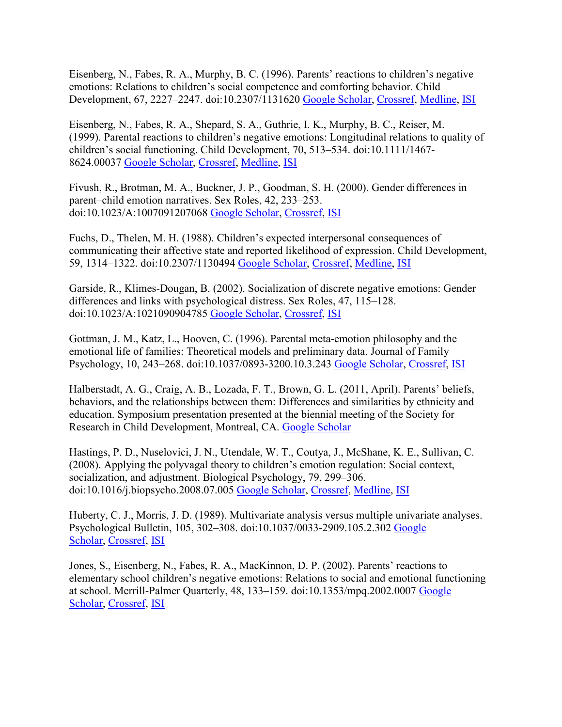Eisenberg, N., Fabes, R. A., Murphy, B. C. (1996). Parents' reactions to children's negative emotions: Relations to children's social competence and comforting behavior. Child Development, 67, 2227–2247. doi:10.2307/1131620 [Google Scholar,](http://scholar.google.com/scholar_lookup?hl=en&publication_year=1996&pages=2227-2247&author=N.+Eisenberg&author=R.+A.+Fabes&author=B.+C.+Murphy&title=Parents%E2%80%99+reactions+to+children%E2%80%99s+negative+emotions%3A+Relations+to+children%E2%80%99s+social+competence+and+comforting+behavior&) [Crossref,](http://journals.sagepub.com/servlet/linkout?suffix=bibr20-2167696816653856&dbid=16&doi=10.1177%2F2167696816653856&key=10.2307%2F1131620) [Medline,](http://journals.sagepub.com/servlet/linkout?suffix=bibr20-2167696816653856&dbid=8&doi=10.1177%2F2167696816653856&key=9022240) [ISI](http://journals.sagepub.com/servlet/linkout?suffix=bibr20-2167696816653856&dbid=128&doi=10.1177%2F2167696816653856&key=A1996WE65500021)

Eisenberg, N., Fabes, R. A., Shepard, S. A., Guthrie, I. K., Murphy, B. C., Reiser, M. (1999). Parental reactions to children's negative emotions: Longitudinal relations to quality of children's social functioning. Child Development, 70, 513–534. doi:10.1111/1467- 8624.00037 [Google Scholar,](http://scholar.google.com/scholar_lookup?hl=en&publication_year=1999&pages=513-534&author=N.+Eisenberg&author=R.+A.+Fabes&author=S.+A.+Shepard&author=I.+K.+Guthrie&author=B.+C.+Murphy&author=M.+Reiser&title=Parental+reactions+to+children%E2%80%99s+negative+emotions%3A+Longitudinal+relations+to+quality+of+children%E2%80%99s+social+functioning&) [Crossref,](http://journals.sagepub.com/servlet/linkout?suffix=bibr21-2167696816653856&dbid=16&doi=10.1177%2F2167696816653856&key=10.1111%2F1467-8624.00037) [Medline,](http://journals.sagepub.com/servlet/linkout?suffix=bibr21-2167696816653856&dbid=8&doi=10.1177%2F2167696816653856&key=10218267) [ISI](http://journals.sagepub.com/servlet/linkout?suffix=bibr21-2167696816653856&dbid=128&doi=10.1177%2F2167696816653856&key=000079798000018)

Fivush, R., Brotman, M. A., Buckner, J. P., Goodman, S. H. (2000). Gender differences in parent–child emotion narratives. Sex Roles, 42, 233–253. doi:10.1023/A:1007091207068 [Google Scholar,](http://scholar.google.com/scholar_lookup?hl=en&publication_year=2000&pages=233-253&author=R.+Fivush&author=M.+A.+Brotman&author=J.+P.+Buckner&author=S.+H.+Goodman&title=Gender+differences+in+parent%E2%80%93child+emotion+narratives&) [Crossref,](http://journals.sagepub.com/servlet/linkout?suffix=bibr22-2167696816653856&dbid=16&doi=10.1177%2F2167696816653856&key=10.1023%2FA%3A1007091207068) [ISI](http://journals.sagepub.com/servlet/linkout?suffix=bibr22-2167696816653856&dbid=128&doi=10.1177%2F2167696816653856&key=000087803400005)

Fuchs, D., Thelen, M. H. (1988). Children's expected interpersonal consequences of communicating their affective state and reported likelihood of expression. Child Development, 59, 1314–1322. doi:10.2307/1130494 [Google Scholar,](http://scholar.google.com/scholar_lookup?hl=en&publication_year=1988&pages=1314-1322&author=D.+Fuchs&author=M.+H.+Thelen&title=Children%E2%80%99s+expected+interpersonal+consequences+of+communicating+their+affective+state+and+reported+likelihood+of+expression&) [Crossref,](http://journals.sagepub.com/servlet/linkout?suffix=bibr23-2167696816653856&dbid=16&doi=10.1177%2F2167696816653856&key=10.2307%2F1130494) [Medline,](http://journals.sagepub.com/servlet/linkout?suffix=bibr23-2167696816653856&dbid=8&doi=10.1177%2F2167696816653856&key=3168642) [ISI](http://journals.sagepub.com/servlet/linkout?suffix=bibr23-2167696816653856&dbid=128&doi=10.1177%2F2167696816653856&key=A1988Q198300014)

Garside, R., Klimes-Dougan, B. (2002). Socialization of discrete negative emotions: Gender differences and links with psychological distress. Sex Roles, 47, 115–128. doi:10.1023/A:1021090904785 [Google Scholar,](http://scholar.google.com/scholar_lookup?hl=en&publication_year=2002&pages=115-128&author=R.+Garside&author=B.+Klimes-Dougan&title=Socialization+of+discrete+negative+emotions%3A+Gender+differences+and+links+with+psychological+distress&) [Crossref,](http://journals.sagepub.com/servlet/linkout?suffix=bibr24-2167696816653856&dbid=16&doi=10.1177%2F2167696816653856&key=10.1023%2FA%3A1021090904785) [ISI](http://journals.sagepub.com/servlet/linkout?suffix=bibr24-2167696816653856&dbid=128&doi=10.1177%2F2167696816653856&key=000179202000002)

Gottman, J. M., Katz, L., Hooven, C. (1996). Parental meta-emotion philosophy and the emotional life of families: Theoretical models and preliminary data. Journal of Family Psychology, 10, 243–268. doi:10.1037/0893-3200.10.3.243 [Google Scholar,](http://scholar.google.com/scholar_lookup?hl=en&publication_year=1996&pages=243-268&author=J.+M.+Gottman&author=L.+Katz&author=C.+Hooven&title=Parental+meta-emotion+philosophy+and+the+emotional+life+of+families%3A+Theoretical+models+and+preliminary+data&) [Crossref,](http://journals.sagepub.com/servlet/linkout?suffix=bibr25-2167696816653856&dbid=16&doi=10.1177%2F2167696816653856&key=10.1037%2F0893-3200.10.3.243) [ISI](http://journals.sagepub.com/servlet/linkout?suffix=bibr25-2167696816653856&dbid=128&doi=10.1177%2F2167696816653856&key=A1996VH25400001)

Halberstadt, A. G., Craig, A. B., Lozada, F. T., Brown, G. L. (2011, April). Parents' beliefs, behaviors, and the relationships between them: Differences and similarities by ethnicity and education. Symposium presentation presented at the biennial meeting of the Society for Research in Child Development, Montreal, CA. [Google Scholar](http://scholar.google.com/scholar_lookup?hl=en&publication_year=2011&author=A.+G.+Halberstadt&author=A.+B.+Craig&author=F.+T.+Lozada&author=G.+L.+Brown&title=Parents%E2%80%99+beliefs%2C+behaviors%2C+and+the+relationships+between+them%3A+Differences+and+similarities+by+ethnicity+and+education)

Hastings, P. D., Nuselovici, J. N., Utendale, W. T., Coutya, J., McShane, K. E., Sullivan, C. (2008). Applying the polyvagal theory to children's emotion regulation: Social context, socialization, and adjustment. Biological Psychology, 79, 299–306. doi:10.1016/j.biopsycho.2008.07.005 [Google Scholar,](http://scholar.google.com/scholar_lookup?hl=en&publication_year=2008&pages=299-306&author=P.+D.+Hastings&author=J.+N.+Nuselovici&author=W.+T.+Utendale&author=J.+Coutya&author=K.+E.+McShane&author=C.+Sullivan&title=Applying+the+polyvagal+theory+to+children%E2%80%99s+emotion+regulation%3A+Social+context%2C+socialization%2C+and+adjustment&) [Crossref,](http://journals.sagepub.com/servlet/linkout?suffix=bibr27-2167696816653856&dbid=16&doi=10.1177%2F2167696816653856&key=10.1016%2Fj.biopsycho.2008.07.005) [Medline,](http://journals.sagepub.com/servlet/linkout?suffix=bibr27-2167696816653856&dbid=8&doi=10.1177%2F2167696816653856&key=18722499) [ISI](http://journals.sagepub.com/servlet/linkout?suffix=bibr27-2167696816653856&dbid=128&doi=10.1177%2F2167696816653856&key=000261275300003)

Huberty, C. J., Morris, J. D. (1989). Multivariate analysis versus multiple univariate analyses. Psychological Bulletin, 105, 302–308. doi:10.1037/0033-2909.105.2.302 [Google](http://scholar.google.com/scholar_lookup?hl=en&publication_year=1989&pages=302-308&author=C.+J.+Huberty&author=J.+D.+Morris&title=Multivariate+analysis+versus+multiple+univariate+analyses&)  [Scholar,](http://scholar.google.com/scholar_lookup?hl=en&publication_year=1989&pages=302-308&author=C.+J.+Huberty&author=J.+D.+Morris&title=Multivariate+analysis+versus+multiple+univariate+analyses&) [Crossref,](http://journals.sagepub.com/servlet/linkout?suffix=bibr28-2167696816653856&dbid=16&doi=10.1177%2F2167696816653856&key=10.1037%2F0033-2909.105.2.302) [ISI](http://journals.sagepub.com/servlet/linkout?suffix=bibr28-2167696816653856&dbid=128&doi=10.1177%2F2167696816653856&key=A1989T661000007)

Jones, S., Eisenberg, N., Fabes, R. A., MacKinnon, D. P. (2002). Parents' reactions to elementary school children's negative emotions: Relations to social and emotional functioning at school. Merrill-Palmer Quarterly, 48, 133–159. doi:10.1353/mpq.2002.0007 [Google](http://scholar.google.com/scholar_lookup?hl=en&publication_year=2002&pages=133-159&author=S.+Jones&author=N.+Eisenberg&author=R.+A.+Fabes&author=D.+P.+MacKinnon&title=Parents%E2%80%99+reactions+to+elementary+school+children%E2%80%99s+negative+emotions%3A+Relations+to+social+and+emotional+functioning+at+school&)  [Scholar,](http://scholar.google.com/scholar_lookup?hl=en&publication_year=2002&pages=133-159&author=S.+Jones&author=N.+Eisenberg&author=R.+A.+Fabes&author=D.+P.+MacKinnon&title=Parents%E2%80%99+reactions+to+elementary+school+children%E2%80%99s+negative+emotions%3A+Relations+to+social+and+emotional+functioning+at+school&) [Crossref,](http://journals.sagepub.com/servlet/linkout?suffix=bibr29-2167696816653856&dbid=16&doi=10.1177%2F2167696816653856&key=10.1353%2Fmpq.2002.0007) [ISI](http://journals.sagepub.com/servlet/linkout?suffix=bibr29-2167696816653856&dbid=128&doi=10.1177%2F2167696816653856&key=000175193100002)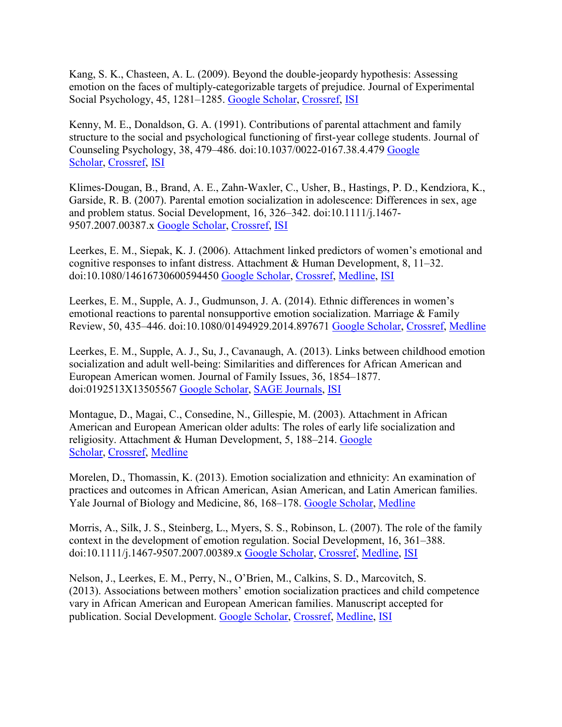Kang, S. K., Chasteen, A. L. (2009). Beyond the double-jeopardy hypothesis: Assessing emotion on the faces of multiply-categorizable targets of prejudice. Journal of Experimental Social Psychology, 45, 1281–1285. [Google Scholar,](http://scholar.google.com/scholar_lookup?hl=en&publication_year=2009&pages=1281-1285&author=S.+K.+Kang&author=A.+L.+Chasteen&title=Beyond+the+double-jeopardy+hypothesis%3A+Assessing+emotion+on+the+faces+of+multiply-categorizable+targets+of+prejudice&) [Crossref,](http://journals.sagepub.com/servlet/linkout?suffix=bibr30-2167696816653856&dbid=16&doi=10.1177%2F2167696816653856&key=10.1016%2Fj.jesp.2009.07.002) [ISI](http://journals.sagepub.com/servlet/linkout?suffix=bibr30-2167696816653856&dbid=128&doi=10.1177%2F2167696816653856&key=000272320100017)

Kenny, M. E., Donaldson, G. A. (1991). Contributions of parental attachment and family structure to the social and psychological functioning of first-year college students. Journal of Counseling Psychology, 38, 479–486. doi:10.1037/0022-0167.38.4.479 [Google](http://scholar.google.com/scholar_lookup?hl=en&publication_year=1991&pages=479-486&author=M.+E.+Kenny&author=G.+A.+Donaldson&title=Contributions+of+parental+attachment+and+family+structure+to+the+social+and+psychological+functioning+of+first-year+college+students&)  [Scholar,](http://scholar.google.com/scholar_lookup?hl=en&publication_year=1991&pages=479-486&author=M.+E.+Kenny&author=G.+A.+Donaldson&title=Contributions+of+parental+attachment+and+family+structure+to+the+social+and+psychological+functioning+of+first-year+college+students&) [Crossref,](http://journals.sagepub.com/servlet/linkout?suffix=bibr31-2167696816653856&dbid=16&doi=10.1177%2F2167696816653856&key=10.1037%2F0022-0167.38.4.479) [ISI](http://journals.sagepub.com/servlet/linkout?suffix=bibr31-2167696816653856&dbid=128&doi=10.1177%2F2167696816653856&key=A1991GK15200013)

Klimes-Dougan, B., Brand, A. E., Zahn-Waxler, C., Usher, B., Hastings, P. D., Kendziora, K., Garside, R. B. (2007). Parental emotion socialization in adolescence: Differences in sex, age and problem status. Social Development, 16, 326–342. doi:10.1111/j.1467- 9507.2007.00387.x [Google Scholar,](http://scholar.google.com/scholar_lookup?hl=en&publication_year=2007&pages=326-342&author=B.+Klimes-Dougan&author=A.+E.+Brand&author=C.+Zahn-Waxler&author=B.+Usher&author=P.+D.+Hastings&author=K.+Kendziora&author=R.+B.+Garside&title=Parental+emotion+socialization+in+adolescence%3A+Differences+in+sex%2C+age+and+problem+status&) [Crossref,](http://journals.sagepub.com/servlet/linkout?suffix=bibr32-2167696816653856&dbid=16&doi=10.1177%2F2167696816653856&key=10.1111%2Fj.1467-9507.2007.00387.x) [ISI](http://journals.sagepub.com/servlet/linkout?suffix=bibr32-2167696816653856&dbid=128&doi=10.1177%2F2167696816653856&key=000246040700008)

Leerkes, E. M., Siepak, K. J. (2006). Attachment linked predictors of women's emotional and cognitive responses to infant distress. Attachment & Human Development, 8, 11–32. doi:10.1080/14616730600594450 [Google Scholar,](http://scholar.google.com/scholar_lookup?hl=en&publication_year=2006&pages=11-32&author=E.+M.+Leerkes&author=K.+J.+Siepak&title=Attachment+linked+predictors+of+women%E2%80%99s+emotional+and+cognitive+responses+to+infant+distress&) [Crossref,](http://journals.sagepub.com/servlet/linkout?suffix=bibr33-2167696816653856&dbid=16&doi=10.1177%2F2167696816653856&key=10.1080%2F14616730600594450) [Medline,](http://journals.sagepub.com/servlet/linkout?suffix=bibr33-2167696816653856&dbid=8&doi=10.1177%2F2167696816653856&key=16581621) [ISI](http://journals.sagepub.com/servlet/linkout?suffix=bibr33-2167696816653856&dbid=128&doi=10.1177%2F2167696816653856&key=000236863000002)

Leerkes, E. M., Supple, A. J., Gudmunson, J. A. (2014). Ethnic differences in women's emotional reactions to parental nonsupportive emotion socialization. Marriage & Family Review, 50, 435–446. doi:10.1080/01494929.2014.897671 [Google Scholar,](http://scholar.google.com/scholar_lookup?hl=en&publication_year=2014&pages=435-446&author=E.+M.+Leerkes&author=A.+J.+Supple&author=J.+A.+Gudmunson&title=Ethnic+differences+in+women%E2%80%99s+emotional+reactions+to+parental+nonsupportive+emotion+socialization&) [Crossref,](http://journals.sagepub.com/servlet/linkout?suffix=bibr34-2167696816653856&dbid=16&doi=10.1177%2F2167696816653856&key=10.1080%2F01494929.2014.897671) [Medline](http://journals.sagepub.com/servlet/linkout?suffix=bibr34-2167696816653856&dbid=8&doi=10.1177%2F2167696816653856&key=25419018)

Leerkes, E. M., Supple, A. J., Su, J., Cavanaugh, A. (2013). Links between childhood emotion socialization and adult well-being: Similarities and differences for African American and European American women. Journal of Family Issues, 36, 1854–1877. doi:0192513X13505567 [Google Scholar,](http://scholar.google.com/scholar_lookup?hl=en&publication_year=2013&pages=1854-1877&author=E.+M.+Leerkes&author=A.+J.+Supple&author=J.+Su&author=A.+Cavanaugh&title=Links+between+childhood+emotion+socialization+and+adult+well-being%3A+Similarities+and+differences+for+African+American+and+European+American+women&) [SAGE Journals,](http://journals.sagepub.com/doi/10.1177/0192513X13505567) [ISI](http://journals.sagepub.com/servlet/linkout?suffix=bibr35-2167696816653856&dbid=128&doi=10.1177%2F2167696816653856&key=000362344400006)

Montague, D., Magai, C., Consedine, N., Gillespie, M. (2003). Attachment in African American and European American older adults: The roles of early life socialization and religiosity. Attachment & Human Development, 5, 188–214. [Google](http://scholar.google.com/scholar_lookup?hl=en&publication_year=2003&pages=188-214&author=D.+Montague&author=C.+Magai&author=N.+Consedine&author=M.+Gillespie&title=Attachment+in+African+American+and+European+American+older+adults%3A+The+roles+of+early+life+socialization+and+religiosity&)  [Scholar,](http://scholar.google.com/scholar_lookup?hl=en&publication_year=2003&pages=188-214&author=D.+Montague&author=C.+Magai&author=N.+Consedine&author=M.+Gillespie&title=Attachment+in+African+American+and+European+American+older+adults%3A+The+roles+of+early+life+socialization+and+religiosity&) [Crossref,](http://journals.sagepub.com/servlet/linkout?suffix=bibr36-2167696816653856&dbid=16&doi=10.1177%2F2167696816653856&key=10.1080%2F1461673031000108487) [Medline](http://journals.sagepub.com/servlet/linkout?suffix=bibr36-2167696816653856&dbid=8&doi=10.1177%2F2167696816653856&key=12791566)

Morelen, D., Thomassin, K. (2013). Emotion socialization and ethnicity: An examination of practices and outcomes in African American, Asian American, and Latin American families. Yale Journal of Biology and Medicine, 86, 168–178. [Google Scholar,](http://scholar.google.com/scholar_lookup?hl=en&publication_year=2013&pages=168-178&author=D.+Morelen&author=K.+Thomassin&title=Emotion+socialization+and+ethnicity%3A+An+examination+of+practices+and+outcomes+in+African+American%2C+Asian+American%2C+and+Latin+American+families&) [Medline](http://journals.sagepub.com/servlet/linkout?suffix=bibr37-2167696816653856&dbid=8&doi=10.1177%2F2167696816653856&key=23766738)

Morris, A., Silk, J. S., Steinberg, L., Myers, S. S., Robinson, L. (2007). The role of the family context in the development of emotion regulation. Social Development, 16, 361–388. doi:10.1111/j.1467-9507.2007.00389.x [Google Scholar,](http://scholar.google.com/scholar_lookup?hl=en&publication_year=2007&pages=361-388&author=A.+Morris&author=J.+S.+Silk&author=L.+Steinberg&author=S.+S.+Myers&author=L.+Robinson&title=The+role+of+the+family+context+in+the+development+of+emotion+regulation&) [Crossref,](http://journals.sagepub.com/servlet/linkout?suffix=bibr38-2167696816653856&dbid=16&doi=10.1177%2F2167696816653856&key=10.1111%2Fj.1467-9507.2007.00389.x) [Medline,](http://journals.sagepub.com/servlet/linkout?suffix=bibr38-2167696816653856&dbid=8&doi=10.1177%2F2167696816653856&key=19756175) [ISI](http://journals.sagepub.com/servlet/linkout?suffix=bibr38-2167696816653856&dbid=128&doi=10.1177%2F2167696816653856&key=000246040700010)

Nelson, J., Leerkes, E. M., Perry, N., O'Brien, M., Calkins, S. D., Marcovitch, S. (2013). Associations between mothers' emotion socialization practices and child competence vary in African American and European American families. Manuscript accepted for publication. Social Development. [Google Scholar,](http://scholar.google.com/scholar_lookup?hl=en&publication_year=2013&author=J.+Nelson&author=E.+M.+Leerkes&author=N.+Perry&author=M.+O%E2%80%99Brien&author=S.+D.+Calkins&author=S.+Marcovitch&title=Associations+between+mothers%E2%80%99+emotion+socialization+practices+and+child+competence+vary+in+African+American+and+European+American+families&) [Crossref,](http://journals.sagepub.com/servlet/linkout?suffix=bibr39-2167696816653856&dbid=16&doi=10.1177%2F2167696816653856&key=10.1111%2Fj.1467-9507.2012.00673.x) [Medline,](http://journals.sagepub.com/servlet/linkout?suffix=bibr39-2167696816653856&dbid=8&doi=10.1177%2F2167696816653856&key=23914076) [ISI](http://journals.sagepub.com/servlet/linkout?suffix=bibr39-2167696816653856&dbid=128&doi=10.1177%2F2167696816653856&key=000321589100004)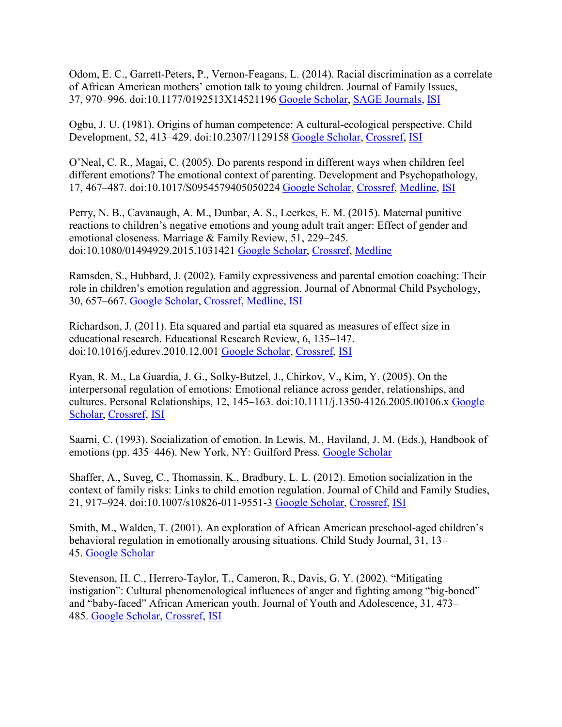Odom, E. C., Garrett-Peters, P., Vernon-Feagans, L. (2014). Racial discrimination as a correlate of African American mothers' emotion talk to young children. Journal of Family Issues, 37, 970–996. doi:10.1177/0192513X14521196 [Google Scholar,](http://scholar.google.com/scholar_lookup?hl=en&publication_year=2014&pages=970-996&author=E.+C.+Odom&author=P.+Garrett-Peters&author=L.+Vernon-Feagans&title=Racial+discrimination+as+a+correlate+of+African+American+mothers%E2%80%99+emotion+talk+to+young+children&) [SAGE Journals,](http://journals.sagepub.com/doi/10.1177/0192513X14521196) [ISI](http://journals.sagepub.com/servlet/linkout?suffix=bibr40-2167696816653856&dbid=128&doi=10.1177%2F2167696816653856&key=000373500300005)

Ogbu, J. U. (1981). Origins of human competence: A cultural-ecological perspective. Child Development, 52, 413–429. doi:10.2307/1129158 [Google Scholar,](http://scholar.google.com/scholar_lookup?hl=en&publication_year=1981&pages=413-429&author=J.+U.+Ogbu&title=Origins+of+human+competence%3A+A+cultural-ecological+perspective&) [Crossref,](http://journals.sagepub.com/servlet/linkout?suffix=bibr41-2167696816653856&dbid=16&doi=10.1177%2F2167696816653856&key=10.2307%2F1129158) [ISI](http://journals.sagepub.com/servlet/linkout?suffix=bibr41-2167696816653856&dbid=128&doi=10.1177%2F2167696816653856&key=A1981LX49900002)

O'Neal, C. R., Magai, C. (2005). Do parents respond in different ways when children feel different emotions? The emotional context of parenting. Development and Psychopathology, 17, 467–487. doi:10.1017/S0954579405050224 [Google Scholar,](http://scholar.google.com/scholar_lookup?hl=en&publication_year=2005&pages=467-487&author=C.+R.+O%E2%80%99Neal&author=C.+Magai&title=Do+parents+respond+in+different+ways+when+children+feel+different+emotions%3F+The+emotional+context+of+parenting&) [Crossref,](http://journals.sagepub.com/servlet/linkout?suffix=bibr42-2167696816653856&dbid=16&doi=10.1177%2F2167696816653856&key=10.1017%2FS0954579405050224) [Medline,](http://journals.sagepub.com/servlet/linkout?suffix=bibr42-2167696816653856&dbid=8&doi=10.1177%2F2167696816653856&key=16761554) [ISI](http://journals.sagepub.com/servlet/linkout?suffix=bibr42-2167696816653856&dbid=128&doi=10.1177%2F2167696816653856&key=000229244700009)

Perry, N. B., Cavanaugh, A. M., Dunbar, A. S., Leerkes, E. M. (2015). Maternal punitive reactions to children's negative emotions and young adult trait anger: Effect of gender and emotional closeness. Marriage & Family Review, 51, 229–245. doi:10.1080/01494929.2015.1031421 [Google Scholar,](http://scholar.google.com/scholar_lookup?hl=en&publication_year=2015&pages=229-245&author=N.+B.+Perry&author=A.+M.+Cavanaugh&author=A.+S.+Dunbar&author=E.+M.+Leerkes&title=Maternal+punitive+reactions+to+children%E2%80%99s+negative+emotions+and+young+adult+trait+anger%3A+Effect+of+gender+and+emotional+closeness&) [Crossref,](http://journals.sagepub.com/servlet/linkout?suffix=bibr43-2167696816653856&dbid=16&doi=10.1177%2F2167696816653856&key=10.1080%2F01494929.2015.1031421) [Medline](http://journals.sagepub.com/servlet/linkout?suffix=bibr43-2167696816653856&dbid=8&doi=10.1177%2F2167696816653856&key=26568644)

Ramsden, S., Hubbard, J. (2002). Family expressiveness and parental emotion coaching: Their role in children's emotion regulation and aggression. Journal of Abnormal Child Psychology, 30, 657–667. [Google Scholar,](http://scholar.google.com/scholar_lookup?hl=en&publication_year=2002&pages=657-667&author=S.+Ramsden&author=J.+Hubbard&title=Family+expressiveness+and+parental+emotion+coaching%3A+Their+role+in+children%E2%80%99s+emotion+regulation+and+aggression&) [Crossref,](http://journals.sagepub.com/servlet/linkout?suffix=bibr44-2167696816653856&dbid=16&doi=10.1177%2F2167696816653856&key=10.1023%2FA%3A1020819915881) [Medline,](http://journals.sagepub.com/servlet/linkout?suffix=bibr44-2167696816653856&dbid=8&doi=10.1177%2F2167696816653856&key=12481978) [ISI](http://journals.sagepub.com/servlet/linkout?suffix=bibr44-2167696816653856&dbid=128&doi=10.1177%2F2167696816653856&key=000178817000009)

Richardson, J. (2011). Eta squared and partial eta squared as measures of effect size in educational research. Educational Research Review, 6, 135–147. doi:10.1016/j.edurev.2010.12.001 [Google Scholar,](http://scholar.google.com/scholar_lookup?hl=en&publication_year=2011&pages=147&author=J.+Richardson&title=Eta+squared+and+partial+eta+squared+as+measures+of+effect+size+in+educational+research&) [Crossref,](http://journals.sagepub.com/servlet/linkout?suffix=bibr45-2167696816653856&dbid=16&doi=10.1177%2F2167696816653856&key=10.1016%2Fj.edurev.2010.12.001) [ISI](http://journals.sagepub.com/servlet/linkout?suffix=bibr45-2167696816653856&dbid=128&doi=10.1177%2F2167696816653856&key=000293051700004)

Ryan, R. M., La Guardia, J. G., Solky-Butzel, J., Chirkov, V., Kim, Y. (2005). On the interpersonal regulation of emotions: Emotional reliance across gender, relationships, and cultures. Personal Relationships, 12, 145–163. doi:10.1111/j.1350-4126.2005.00106.x [Google](http://scholar.google.com/scholar_lookup?hl=en&publication_year=2005&pages=145-163&author=R.+M.+Ryan&author=J.+G.+La+Guardia&author=J.+Solky-Butzel&author=V.+Chirkov&author=Y.+Kim&title=On+the+interpersonal+regulation+of+emotions%3A+Emotional+reliance+across+gender%2C+relationships%2C+and+cultures&)  [Scholar,](http://scholar.google.com/scholar_lookup?hl=en&publication_year=2005&pages=145-163&author=R.+M.+Ryan&author=J.+G.+La+Guardia&author=J.+Solky-Butzel&author=V.+Chirkov&author=Y.+Kim&title=On+the+interpersonal+regulation+of+emotions%3A+Emotional+reliance+across+gender%2C+relationships%2C+and+cultures&) [Crossref,](http://journals.sagepub.com/servlet/linkout?suffix=bibr46-2167696816653856&dbid=16&doi=10.1177%2F2167696816653856&key=10.1111%2Fj.1350-4126.2005.00106.x) [ISI](http://journals.sagepub.com/servlet/linkout?suffix=bibr46-2167696816653856&dbid=128&doi=10.1177%2F2167696816653856&key=000227072300008)

Saarni, C. (1993). Socialization of emotion. In Lewis, M., Haviland, J. M. (Eds.), Handbook of emotions (pp. 435–446). New York, NY: Guilford Press. [Google Scholar](http://scholar.google.com/scholar_lookup?hl=en&publication_year=1993&pages=435-446&author=C.+Saarni&title=Socialization+of+emotion)

Shaffer, A., Suveg, C., Thomassin, K., Bradbury, L. L. (2012). Emotion socialization in the context of family risks: Links to child emotion regulation. Journal of Child and Family Studies, 21, 917–924. doi:10.1007/s10826-011-9551-3 [Google Scholar,](http://scholar.google.com/scholar_lookup?hl=en&publication_year=2012&pages=917-924&author=A.+Shaffer&author=C.+Suveg&author=K.+Thomassin&author=L.+L.+Bradbury&title=Emotion+socialization+in+the+context+of+family+risks%3A+Links+to+child+emotion+regulation&) [Crossref,](http://journals.sagepub.com/servlet/linkout?suffix=bibr48-2167696816653856&dbid=16&doi=10.1177%2F2167696816653856&key=10.1007%2Fs10826-011-9551-3) [ISI](http://journals.sagepub.com/servlet/linkout?suffix=bibr48-2167696816653856&dbid=128&doi=10.1177%2F2167696816653856&key=000310895100004)

Smith, M., Walden, T. (2001). An exploration of African American preschool-aged children's behavioral regulation in emotionally arousing situations. Child Study Journal, 31, 13– 45. [Google Scholar](http://scholar.google.com/scholar_lookup?hl=en&publication_year=2001&pages=13-45&author=M.+Smith&author=T.+Walden&title=An+exploration+of+African+American+preschool-aged+children%E2%80%99s+behavioral+regulation+in+emotionally+arousing+situations&)

Stevenson, H. C., Herrero-Taylor, T., Cameron, R., Davis, G. Y. (2002). "Mitigating instigation": Cultural phenomenological influences of anger and fighting among "big-boned" and "baby-faced" African American youth. Journal of Youth and Adolescence, 31, 473– 485. [Google Scholar,](http://scholar.google.com/scholar_lookup?hl=en&publication_year=2002&pages=473-485&author=H.+C.+Stevenson&author=T.+Herrero-Taylor&author=R.+Cameron&author=G.+Y.+Davis&title=%E2%80%9CMitigating+instigation%E2%80%9D%3A+Cultural+phenomenological+influences+of+anger+and+fighting+among+%E2%80%9Cbig-boned%E2%80%9D+and+%E2%80%9Cbaby-faced%E2%80%9D+African+American+youth&) [Crossref,](http://journals.sagepub.com/servlet/linkout?suffix=bibr50-2167696816653856&dbid=16&doi=10.1177%2F2167696816653856&key=10.1023%2FA%3A1020267221683) [ISI](http://journals.sagepub.com/servlet/linkout?suffix=bibr50-2167696816653856&dbid=128&doi=10.1177%2F2167696816653856&key=000177986500007)